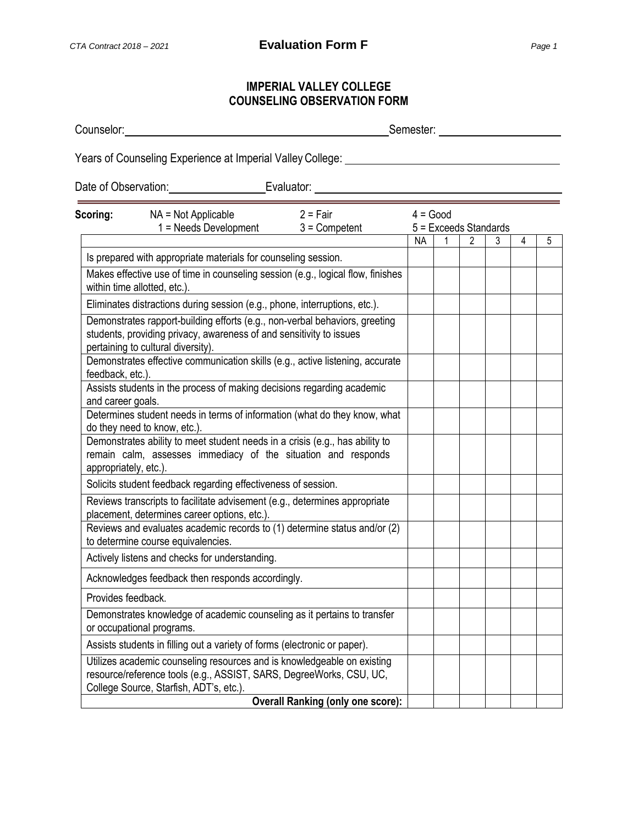## **IMPERIAL VALLEY COLLEGE COUNSELING OBSERVATION FORM**

Counselor: Semester:

Years of Counseling Experience at Imperial Valley College:

Date of Observation: Evaluator:

| Scoring:              | NA = Not Applicable                                                                                                                                                                      | $2 = Fair$                               | $4 = Good$ |  |   |                              |   |   |  |
|-----------------------|------------------------------------------------------------------------------------------------------------------------------------------------------------------------------------------|------------------------------------------|------------|--|---|------------------------------|---|---|--|
|                       | $1 =$ Needs Development                                                                                                                                                                  | $3 =$ Competent                          | NA.        |  | 2 | $5 =$ Exceeds Standards<br>3 | 4 | 5 |  |
|                       | Is prepared with appropriate materials for counseling session.                                                                                                                           |                                          |            |  |   |                              |   |   |  |
|                       | Makes effective use of time in counseling session (e.g., logical flow, finishes<br>within time allotted, etc.).                                                                          |                                          |            |  |   |                              |   |   |  |
|                       | Eliminates distractions during session (e.g., phone, interruptions, etc.).                                                                                                               |                                          |            |  |   |                              |   |   |  |
|                       | Demonstrates rapport-building efforts (e.g., non-verbal behaviors, greeting<br>students, providing privacy, awareness of and sensitivity to issues<br>pertaining to cultural diversity). |                                          |            |  |   |                              |   |   |  |
| feedback, etc.).      | Demonstrates effective communication skills (e.g., active listening, accurate                                                                                                            |                                          |            |  |   |                              |   |   |  |
| and career goals.     | Assists students in the process of making decisions regarding academic                                                                                                                   |                                          |            |  |   |                              |   |   |  |
|                       | Determines student needs in terms of information (what do they know, what<br>do they need to know, etc.).                                                                                |                                          |            |  |   |                              |   |   |  |
| appropriately, etc.). | Demonstrates ability to meet student needs in a crisis (e.g., has ability to<br>remain calm, assesses immediacy of the situation and responds                                            |                                          |            |  |   |                              |   |   |  |
|                       | Solicits student feedback regarding effectiveness of session.                                                                                                                            |                                          |            |  |   |                              |   |   |  |
|                       | Reviews transcripts to facilitate advisement (e.g., determines appropriate<br>placement, determines career options, etc.).                                                               |                                          |            |  |   |                              |   |   |  |
|                       | Reviews and evaluates academic records to (1) determine status and/or (2)<br>to determine course equivalencies.                                                                          |                                          |            |  |   |                              |   |   |  |
|                       | Actively listens and checks for understanding.                                                                                                                                           |                                          |            |  |   |                              |   |   |  |
|                       | Acknowledges feedback then responds accordingly.                                                                                                                                         |                                          |            |  |   |                              |   |   |  |
| Provides feedback.    |                                                                                                                                                                                          |                                          |            |  |   |                              |   |   |  |
|                       | Demonstrates knowledge of academic counseling as it pertains to transfer<br>or occupational programs.                                                                                    |                                          |            |  |   |                              |   |   |  |
|                       | Assists students in filling out a variety of forms (electronic or paper).                                                                                                                |                                          |            |  |   |                              |   |   |  |
|                       | Utilizes academic counseling resources and is knowledgeable on existing<br>resource/reference tools (e.g., ASSIST, SARS, DegreeWorks, CSU, UC,<br>College Source, Starfish, ADT's, etc.) |                                          |            |  |   |                              |   |   |  |
|                       |                                                                                                                                                                                          | <b>Overall Ranking (only one score):</b> |            |  |   |                              |   |   |  |